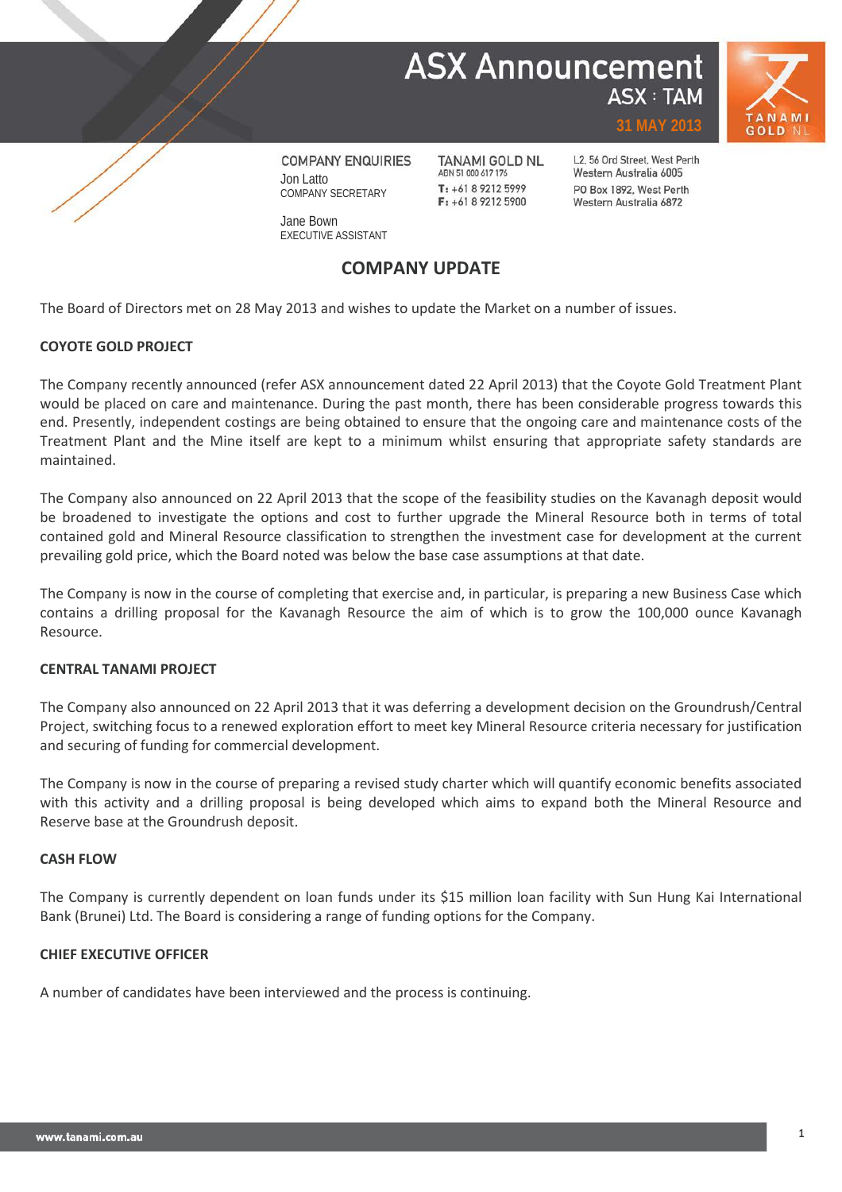## **ASX Announcement ASX: TAM**





**COMPANY ENQUIRIES** Jon Latto COMPANY SECRETARY

**TANAMI GOLD NL** ABN 51 000 617 176  $T: +61892125999$  $F: +61892125900$ 

L2, 56 Ord Street, West Perth Western Australia 6005 PO Box 1892, West Perth Western Australia 6872

**31 MAY 2013**

Jane Bown EXECUTIVE ASSISTANT

### **COMPANY UPDATE**

The Board of Directors met on 28 May 2013 and wishes to update the Market on a number of issues.

### **COYOTE GOLD PROJECT**

The Company recently announced (refer ASX announcement dated 22 April 2013) that the Coyote Gold Treatment Plant would be placed on care and maintenance. During the past month, there has been considerable progress towards this end. Presently, independent costings are being obtained to ensure that the ongoing care and maintenance costs of the Treatment Plant and the Mine itself are kept to a minimum whilst ensuring that appropriate safety standards are maintained.

The Company also announced on 22 April 2013 that the scope of the feasibility studies on the Kavanagh deposit would be broadened to investigate the options and cost to further upgrade the Mineral Resource both in terms of total contained gold and Mineral Resource classification to strengthen the investment case for development at the current prevailing gold price, which the Board noted was below the base case assumptions at that date.

The Company is now in the course of completing that exercise and, in particular, is preparing a new Business Case which contains a drilling proposal for the Kavanagh Resource the aim of which is to grow the 100,000 ounce Kavanagh Resource.

#### **CENTRAL TANAMI PROJECT**

The Company also announced on 22 April 2013 that it was deferring a development decision on the Groundrush/Central Project, switching focus to a renewed exploration effort to meet key Mineral Resource criteria necessary for justification and securing of funding for commercial development.

The Company is now in the course of preparing a revised study charter which will quantify economic benefits associated with this activity and a drilling proposal is being developed which aims to expand both the Mineral Resource and Reserve base at the Groundrush deposit.

#### **CASH FLOW**

The Company is currently dependent on loan funds under its \$15 million loan facility with Sun Hung Kai International Bank (Brunei) Ltd. The Board is considering a range of funding options for the Company.

#### **CHIEF EXECUTIVE OFFICER**

A number of candidates have been interviewed and the process is continuing.